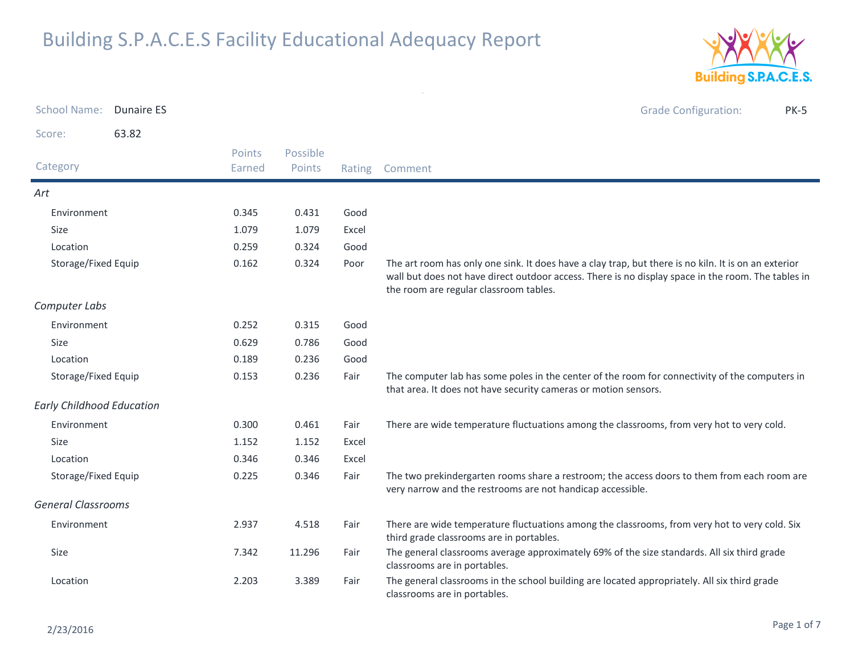

| <b>School Name:</b>              | <b>Dunaire ES</b> |                  |                    |       | <b>Grade Configuration:</b><br><b>PK-5</b>                                                                                                                                                                                                           |
|----------------------------------|-------------------|------------------|--------------------|-------|------------------------------------------------------------------------------------------------------------------------------------------------------------------------------------------------------------------------------------------------------|
| Score:                           | 63.82             |                  |                    |       |                                                                                                                                                                                                                                                      |
| Category                         |                   | Points<br>Earned | Possible<br>Points |       | Rating Comment                                                                                                                                                                                                                                       |
| Art                              |                   |                  |                    |       |                                                                                                                                                                                                                                                      |
| Environment                      |                   | 0.345            | 0.431              | Good  |                                                                                                                                                                                                                                                      |
| Size                             |                   | 1.079            | 1.079              | Excel |                                                                                                                                                                                                                                                      |
| Location                         |                   | 0.259            | 0.324              | Good  |                                                                                                                                                                                                                                                      |
| Storage/Fixed Equip              |                   | 0.162            | 0.324              | Poor  | The art room has only one sink. It does have a clay trap, but there is no kiln. It is on an exterior<br>wall but does not have direct outdoor access. There is no display space in the room. The tables in<br>the room are regular classroom tables. |
| Computer Labs                    |                   |                  |                    |       |                                                                                                                                                                                                                                                      |
| Environment                      |                   | 0.252            | 0.315              | Good  |                                                                                                                                                                                                                                                      |
| Size                             |                   | 0.629            | 0.786              | Good  |                                                                                                                                                                                                                                                      |
| Location                         |                   | 0.189            | 0.236              | Good  |                                                                                                                                                                                                                                                      |
| Storage/Fixed Equip              |                   | 0.153            | 0.236              | Fair  | The computer lab has some poles in the center of the room for connectivity of the computers in<br>that area. It does not have security cameras or motion sensors.                                                                                    |
| <b>Early Childhood Education</b> |                   |                  |                    |       |                                                                                                                                                                                                                                                      |
| Environment                      |                   | 0.300            | 0.461              | Fair  | There are wide temperature fluctuations among the classrooms, from very hot to very cold.                                                                                                                                                            |
| Size                             |                   | 1.152            | 1.152              | Excel |                                                                                                                                                                                                                                                      |
| Location                         |                   | 0.346            | 0.346              | Excel |                                                                                                                                                                                                                                                      |
| Storage/Fixed Equip              |                   | 0.225            | 0.346              | Fair  | The two prekindergarten rooms share a restroom; the access doors to them from each room are<br>very narrow and the restrooms are not handicap accessible.                                                                                            |
| <b>General Classrooms</b>        |                   |                  |                    |       |                                                                                                                                                                                                                                                      |
| Environment                      |                   | 2.937            | 4.518              | Fair  | There are wide temperature fluctuations among the classrooms, from very hot to very cold. Six<br>third grade classrooms are in portables.                                                                                                            |
| Size                             |                   | 7.342            | 11.296             | Fair  | The general classrooms average approximately 69% of the size standards. All six third grade<br>classrooms are in portables.                                                                                                                          |
| Location                         |                   | 2.203            | 3.389              | Fair  | The general classrooms in the school building are located appropriately. All six third grade<br>classrooms are in portables.                                                                                                                         |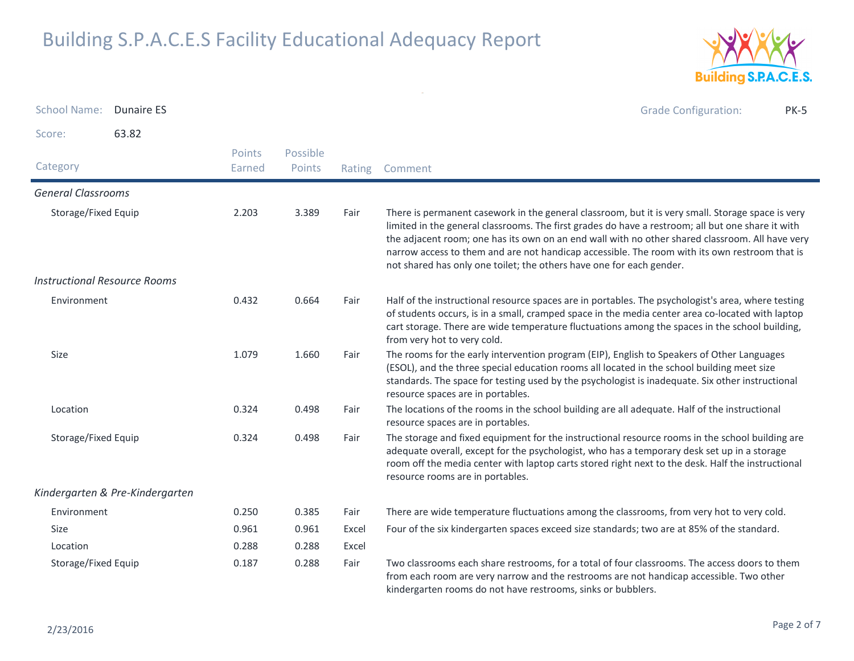

| <b>School Name:</b>                 | <b>Dunaire ES</b>               |                  |                    |        | <b>Grade Configuration:</b><br><b>PK-5</b>                                                                                                                                                                                                                                                                                                                                                                                                                                         |
|-------------------------------------|---------------------------------|------------------|--------------------|--------|------------------------------------------------------------------------------------------------------------------------------------------------------------------------------------------------------------------------------------------------------------------------------------------------------------------------------------------------------------------------------------------------------------------------------------------------------------------------------------|
| Score:                              | 63.82                           |                  |                    |        |                                                                                                                                                                                                                                                                                                                                                                                                                                                                                    |
| Category                            |                                 | Points<br>Earned | Possible<br>Points | Rating | Comment                                                                                                                                                                                                                                                                                                                                                                                                                                                                            |
| <b>General Classrooms</b>           |                                 |                  |                    |        |                                                                                                                                                                                                                                                                                                                                                                                                                                                                                    |
| Storage/Fixed Equip                 |                                 | 2.203            | 3.389              | Fair   | There is permanent casework in the general classroom, but it is very small. Storage space is very<br>limited in the general classrooms. The first grades do have a restroom; all but one share it with<br>the adjacent room; one has its own on an end wall with no other shared classroom. All have very<br>narrow access to them and are not handicap accessible. The room with its own restroom that is<br>not shared has only one toilet; the others have one for each gender. |
| <b>Instructional Resource Rooms</b> |                                 |                  |                    |        |                                                                                                                                                                                                                                                                                                                                                                                                                                                                                    |
| Environment                         |                                 | 0.432            | 0.664              | Fair   | Half of the instructional resource spaces are in portables. The psychologist's area, where testing<br>of students occurs, is in a small, cramped space in the media center area co-located with laptop<br>cart storage. There are wide temperature fluctuations among the spaces in the school building,<br>from very hot to very cold.                                                                                                                                            |
| Size                                |                                 | 1.079            | 1.660              | Fair   | The rooms for the early intervention program (EIP), English to Speakers of Other Languages<br>(ESOL), and the three special education rooms all located in the school building meet size<br>standards. The space for testing used by the psychologist is inadequate. Six other instructional<br>resource spaces are in portables.                                                                                                                                                  |
| Location                            |                                 | 0.324            | 0.498              | Fair   | The locations of the rooms in the school building are all adequate. Half of the instructional<br>resource spaces are in portables.                                                                                                                                                                                                                                                                                                                                                 |
| Storage/Fixed Equip                 |                                 | 0.324            | 0.498              | Fair   | The storage and fixed equipment for the instructional resource rooms in the school building are<br>adequate overall, except for the psychologist, who has a temporary desk set up in a storage<br>room off the media center with laptop carts stored right next to the desk. Half the instructional<br>resource rooms are in portables.                                                                                                                                            |
|                                     | Kindergarten & Pre-Kindergarten |                  |                    |        |                                                                                                                                                                                                                                                                                                                                                                                                                                                                                    |
| Environment                         |                                 | 0.250            | 0.385              | Fair   | There are wide temperature fluctuations among the classrooms, from very hot to very cold.                                                                                                                                                                                                                                                                                                                                                                                          |
| Size                                |                                 | 0.961            | 0.961              | Excel  | Four of the six kindergarten spaces exceed size standards; two are at 85% of the standard.                                                                                                                                                                                                                                                                                                                                                                                         |
| Location                            |                                 | 0.288            | 0.288              | Excel  |                                                                                                                                                                                                                                                                                                                                                                                                                                                                                    |
| Storage/Fixed Equip                 |                                 | 0.187            | 0.288              | Fair   | Two classrooms each share restrooms, for a total of four classrooms. The access doors to them<br>from each room are very narrow and the restrooms are not handicap accessible. Two other<br>kindergarten rooms do not have restrooms, sinks or bubblers.                                                                                                                                                                                                                           |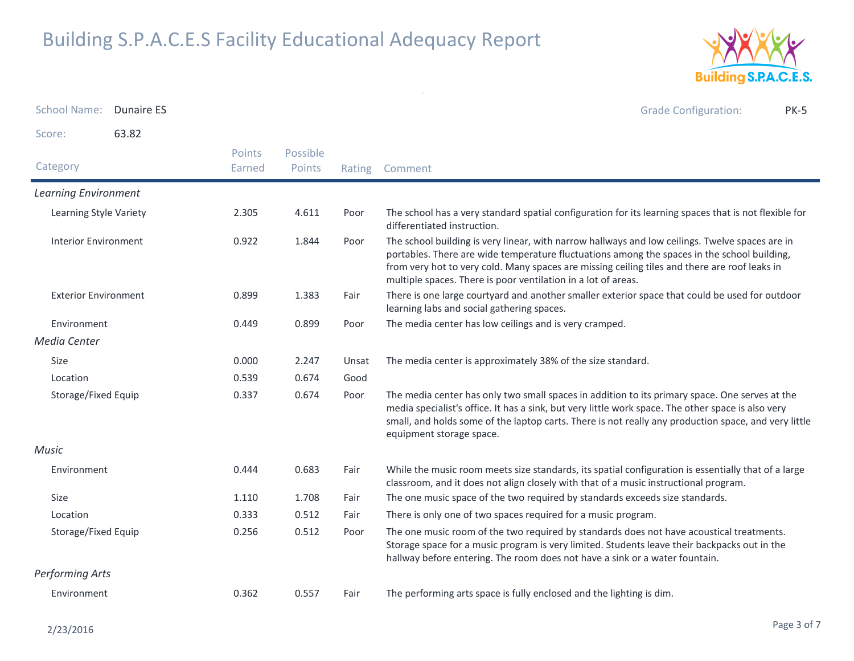

School Name: Dunaire ES Grade Configuration: PK-5Score: 63.82**Category**  Rating Comment Possible PointsPoints EarnedLearning EnvironmentLearning Style Variety The school has a very standard spatial configuration for its learning spaces that is not flexible for differentiated instruction.2.3054.611 Interior Environment The school building is very linear, with narrow hallways and low ceilings. Twelve spaces are in portables. There are wide temperature fluctuations among the spaces in the school building, from very hot to very cold. Many spaces are missing ceiling tiles and there are roof leaks in multiple spaces. There is poor ventilation in a lot of areas.0.9221.844 Exterior Environment There is one large courtyard and another smaller exterior space that could be used for outdoor learning labs and social gathering spaces.0.8991.383 Environment 0.4490.449 0.899 Poor The media center has low ceilings and is very cramped. Media CenterSizee 0.000 2.247 Unsat The media center is approximately 38% of the size standard. Location 0.539 0.674 Good Storage/Fixed Equip The media center has only two small spaces in addition to its primary space. One serves at the media specialist's office. It has a sink, but very little work space. The other space is also very small, and holds some of the laptop carts. There is not really any production space, and very little equipment storage space.0.3370.674 MusicEnvironment While the music room meets size standards, its spatial configuration is essentially that of a large classroom, and it does not align closely with that of a music instructional program.0.444 $0.683$ Sizee 1.110 1.708 Fair The one music space of the two required by standards exceeds size standards. Location 0.333 0.512 Fair There is only one of two spaces required for a music program. Storage/Fixed Equip The one music room of the two required by standards does not have acoustical treatments. Storage space for a music program is very limited. Students leave their backpacks out in the hallway before entering. The room does not have a sink or a water fountain.0.256 $0.512$ Performing ArtsEnvironment 0.3620.557 Fair The performing arts space is fully enclosed and the lighting is dim.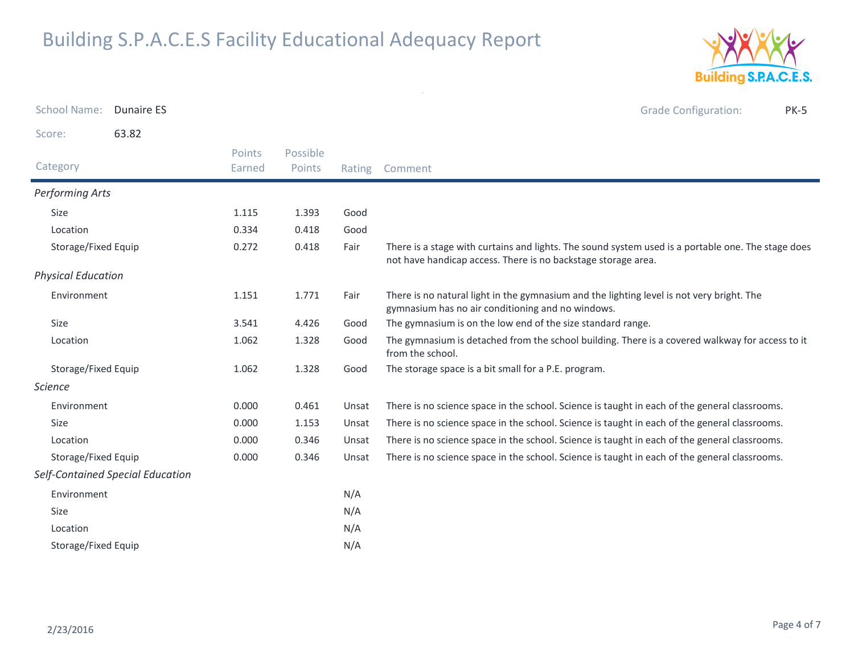

| <b>School Name:</b><br><b>Dunaire ES</b> |                  |                    |        | <b>Grade Configuration:</b><br><b>PK-5</b>                                                                                                                          |
|------------------------------------------|------------------|--------------------|--------|---------------------------------------------------------------------------------------------------------------------------------------------------------------------|
| 63.82<br>Score:                          |                  |                    |        |                                                                                                                                                                     |
| Category                                 | Points<br>Earned | Possible<br>Points | Rating | Comment                                                                                                                                                             |
| Performing Arts                          |                  |                    |        |                                                                                                                                                                     |
| Size                                     | 1.115            | 1.393              | Good   |                                                                                                                                                                     |
| Location                                 | 0.334            | 0.418              | Good   |                                                                                                                                                                     |
| Storage/Fixed Equip                      | 0.272            | 0.418              | Fair   | There is a stage with curtains and lights. The sound system used is a portable one. The stage does<br>not have handicap access. There is no backstage storage area. |
| <b>Physical Education</b>                |                  |                    |        |                                                                                                                                                                     |
| Environment                              | 1.151            | 1.771              | Fair   | There is no natural light in the gymnasium and the lighting level is not very bright. The<br>gymnasium has no air conditioning and no windows.                      |
| Size                                     | 3.541            | 4.426              | Good   | The gymnasium is on the low end of the size standard range.                                                                                                         |
| Location                                 | 1.062            | 1.328              | Good   | The gymnasium is detached from the school building. There is a covered walkway for access to it<br>from the school.                                                 |
| Storage/Fixed Equip                      | 1.062            | 1.328              | Good   | The storage space is a bit small for a P.E. program.                                                                                                                |
| <b>Science</b>                           |                  |                    |        |                                                                                                                                                                     |
| Environment                              | 0.000            | 0.461              | Unsat  | There is no science space in the school. Science is taught in each of the general classrooms.                                                                       |
| Size                                     | 0.000            | 1.153              | Unsat  | There is no science space in the school. Science is taught in each of the general classrooms.                                                                       |
| Location                                 | 0.000            | 0.346              | Unsat  | There is no science space in the school. Science is taught in each of the general classrooms.                                                                       |
| Storage/Fixed Equip                      | 0.000            | 0.346              | Unsat  | There is no science space in the school. Science is taught in each of the general classrooms.                                                                       |
| Self-Contained Special Education         |                  |                    |        |                                                                                                                                                                     |
| Environment                              |                  |                    | N/A    |                                                                                                                                                                     |
| Size                                     |                  |                    | N/A    |                                                                                                                                                                     |
| Location                                 |                  |                    | N/A    |                                                                                                                                                                     |
| Storage/Fixed Equip                      |                  |                    | N/A    |                                                                                                                                                                     |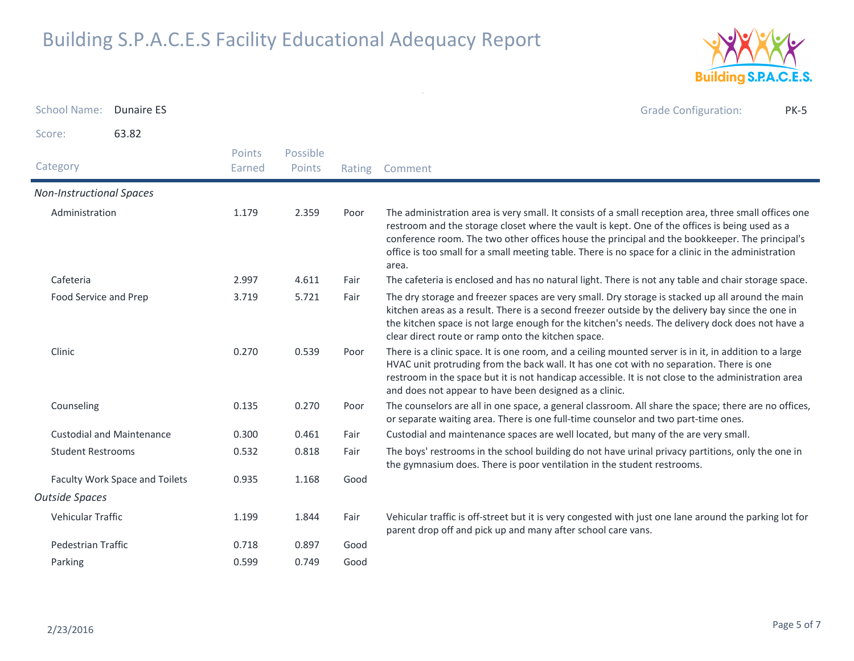

School Name: Dunaire ES Grade Configuration: PK-5Score: 63.82Category Rating Comment Possible PointsPoints EarnedNon-Instructional SpacesAdministration The administration area is very small. It consists of a small reception area, three small offices one restroom and the storage closet where the vault is kept. One of the offices is being used as a conference room. The two other offices house the principal and the bookkeeper. The principal's office is too small for a small meeting table. There is no space for a clinic in the administration area.1.1792.359 Cafeteriaa 2.997 4.611 Fair The cafeteria is enclosed and has no natural light. There is not any table and chair storage space. Food Service and Prep The dry storage and freezer spaces are very small. Dry storage is stacked up all around the main kitchen areas as a result. There is a second freezer outside by the delivery bay since the one in the kitchen space is not large enough for the kitchen's needs. The delivery dock does not have a clear direct route or ramp onto the kitchen space.3.719 $5.721$ ClinicPoor There is a clinic space. It is one room, and a ceiling mounted server is in it, in addition to a large HVAC unit protruding from the back wall. It has one cot with no separation. There is one restroom in the space but it is not handicap accessible. It is not close to the administration area and does not appear to have been designed as a clinic.0.270 $0.539$ Counseling The counselors are all in one space, a general classroom. All share the space; there are no offices, or separate waiting area. There is one full-time counselor and two part-time ones. 0.135 $0.270$ Custodial and Maintenance 0.3000.461 Fair Custodial and maintenance spaces are well located, but many of the are very small. Student Restrooms The boys' restrooms in the school building do not have urinal privacy partitions, only the one in the gymnasium does. There is poor ventilation in the student restrooms.0.532 $0.818$ Faculty Work Space and Toilets **COO** 6.935 1.168 Good 1.168 Outside SpacesVehicular Traffic Vehicular traffic is off-street but it is very congested with just one lane around the parking lot for parent drop off and pick up and many after school care vans.1.1991.844 Pedestrian Traffic 0.718 0.897 GoodParkingg 0.599 0.749 Good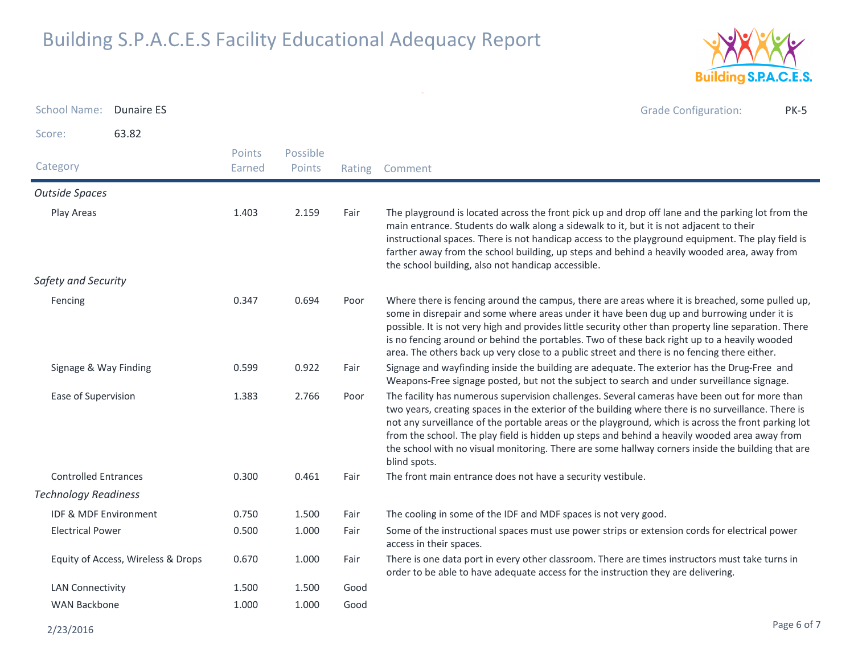

| <b>School Name:</b>              | <b>Dunaire ES</b>                  |                  |                    |        | <b>Grade Configuration:</b><br><b>PK-5</b>                                                                                                                                                                                                                                                                                                                                                                                                                                                                                        |
|----------------------------------|------------------------------------|------------------|--------------------|--------|-----------------------------------------------------------------------------------------------------------------------------------------------------------------------------------------------------------------------------------------------------------------------------------------------------------------------------------------------------------------------------------------------------------------------------------------------------------------------------------------------------------------------------------|
| Score:                           | 63.82                              |                  |                    |        |                                                                                                                                                                                                                                                                                                                                                                                                                                                                                                                                   |
| Category                         |                                    | Points<br>Earned | Possible<br>Points | Rating | Comment                                                                                                                                                                                                                                                                                                                                                                                                                                                                                                                           |
| <b>Outside Spaces</b>            |                                    |                  |                    |        |                                                                                                                                                                                                                                                                                                                                                                                                                                                                                                                                   |
| Play Areas                       |                                    | 1.403            | 2.159              | Fair   | The playground is located across the front pick up and drop off lane and the parking lot from the<br>main entrance. Students do walk along a sidewalk to it, but it is not adjacent to their<br>instructional spaces. There is not handicap access to the playground equipment. The play field is<br>farther away from the school building, up steps and behind a heavily wooded area, away from<br>the school building, also not handicap accessible.                                                                            |
| Safety and Security              |                                    |                  |                    |        |                                                                                                                                                                                                                                                                                                                                                                                                                                                                                                                                   |
| Fencing                          |                                    | 0.347            | 0.694              | Poor   | Where there is fencing around the campus, there are areas where it is breached, some pulled up,<br>some in disrepair and some where areas under it have been dug up and burrowing under it is<br>possible. It is not very high and provides little security other than property line separation. There<br>is no fencing around or behind the portables. Two of these back right up to a heavily wooded<br>area. The others back up very close to a public street and there is no fencing there either.                            |
| Signage & Way Finding            |                                    | 0.599            | 0.922              | Fair   | Signage and wayfinding inside the building are adequate. The exterior has the Drug-Free and<br>Weapons-Free signage posted, but not the subject to search and under surveillance signage.                                                                                                                                                                                                                                                                                                                                         |
| Ease of Supervision              |                                    | 1.383            | 2.766              | Poor   | The facility has numerous supervision challenges. Several cameras have been out for more than<br>two years, creating spaces in the exterior of the building where there is no surveillance. There is<br>not any surveillance of the portable areas or the playground, which is across the front parking lot<br>from the school. The play field is hidden up steps and behind a heavily wooded area away from<br>the school with no visual monitoring. There are some hallway corners inside the building that are<br>blind spots. |
| <b>Controlled Entrances</b>      |                                    | 0.300            | 0.461              | Fair   | The front main entrance does not have a security vestibule.                                                                                                                                                                                                                                                                                                                                                                                                                                                                       |
| <b>Technology Readiness</b>      |                                    |                  |                    |        |                                                                                                                                                                                                                                                                                                                                                                                                                                                                                                                                   |
| <b>IDF &amp; MDF Environment</b> |                                    | 0.750            | 1.500              | Fair   | The cooling in some of the IDF and MDF spaces is not very good.                                                                                                                                                                                                                                                                                                                                                                                                                                                                   |
| <b>Electrical Power</b>          |                                    | 0.500            | 1.000              | Fair   | Some of the instructional spaces must use power strips or extension cords for electrical power<br>access in their spaces.                                                                                                                                                                                                                                                                                                                                                                                                         |
|                                  | Equity of Access, Wireless & Drops | 0.670            | 1.000              | Fair   | There is one data port in every other classroom. There are times instructors must take turns in<br>order to be able to have adequate access for the instruction they are delivering.                                                                                                                                                                                                                                                                                                                                              |
| <b>LAN Connectivity</b>          |                                    | 1.500            | 1.500              | Good   |                                                                                                                                                                                                                                                                                                                                                                                                                                                                                                                                   |
| <b>WAN Backbone</b>              |                                    | 1.000            | 1.000              | Good   |                                                                                                                                                                                                                                                                                                                                                                                                                                                                                                                                   |